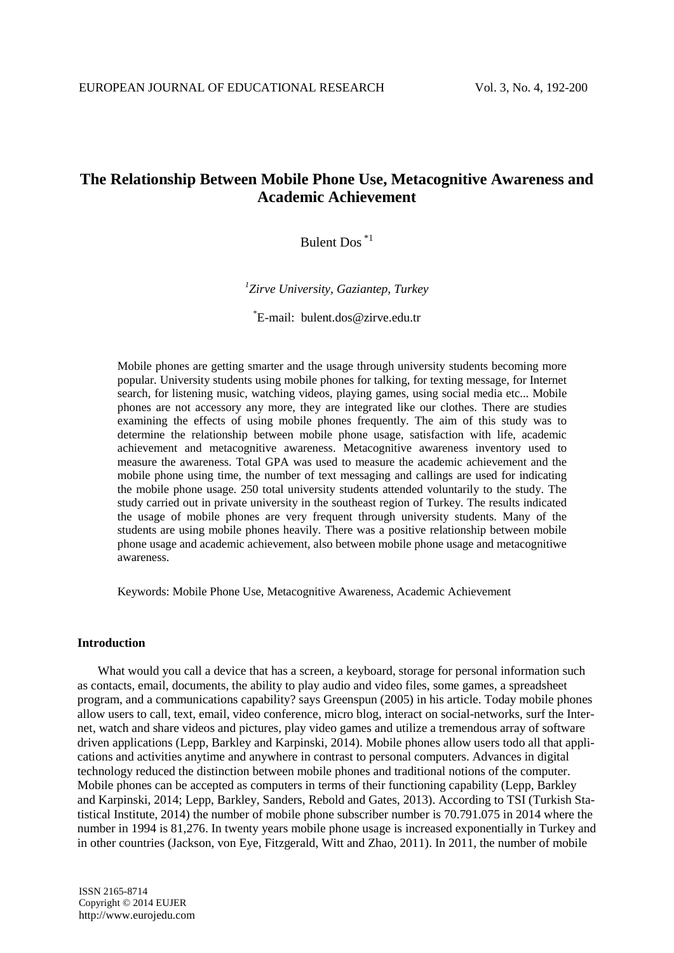# **The Relationship Between Mobile Phone Use, Metacognitive Awareness and Academic Achievement**

## Bulent Dos \*1

*<sup>1</sup> Zirve University, Gaziantep, Turkey*

\* E-mail: bulent.dos@zirve.edu.tr

Mobile phones are getting smarter and the usage through university students becoming more popular. University students using mobile phones for talking, for texting message, for Internet search, for listening music, watching videos, playing games, using social media etc... Mobile phones are not accessory any more, they are integrated like our clothes. There are studies examining the effects of using mobile phones frequently. The aim of this study was to determine the relationship between mobile phone usage, satisfaction with life, academic achievement and metacognitive awareness. Metacognitive awareness inventory used to measure the awareness. Total GPA was used to measure the academic achievement and the mobile phone using time, the number of text messaging and callings are used for indicating the mobile phone usage. 250 total university students attended voluntarily to the study. The study carried out in private university in the southeast region of Turkey. The results indicated the usage of mobile phones are very frequent through university students. Many of the students are using mobile phones heavily. There was a positive relationship between mobile phone usage and academic achievement, also between mobile phone usage and metacognitiwe awareness.

Keywords: Mobile Phone Use, Metacognitive Awareness, Academic Achievement

## **Introduction**

What would you call a device that has a screen, a keyboard, storage for personal information such as contacts, email, documents, the ability to play audio and video files, some games, a spreadsheet program, and a communications capability? says Greenspun (2005) in his article. Today mobile phones allow users to call, text, email, video conference, micro blog, interact on social-networks, surf the Internet, watch and share videos and pictures, play video games and utilize a tremendous array of software driven applications (Lepp, Barkley and Karpinski, 2014). Mobile phones allow users todo all that applications and activities anytime and anywhere in contrast to personal computers. Advances in digital technology reduced the distinction between mobile phones and traditional notions of the computer. Mobile phones can be accepted as computers in terms of their functioning capability (Lepp, Barkley and Karpinski, 2014; Lepp, Barkley, Sanders, Rebold and Gates, 2013). According to TSI (Turkish Statistical Institute, 2014) the number of mobile phone subscriber number is 70.791.075 in 2014 where the number in 1994 is 81,276. In twenty years mobile phone usage is increased exponentially in Turkey and in other countries (Jackson, von Eye, Fitzgerald, Witt and Zhao, 2011). In 2011, the number of mobile

ISSN 2165-8714 Copyright © 2014 EUJER http://www.eurojedu.com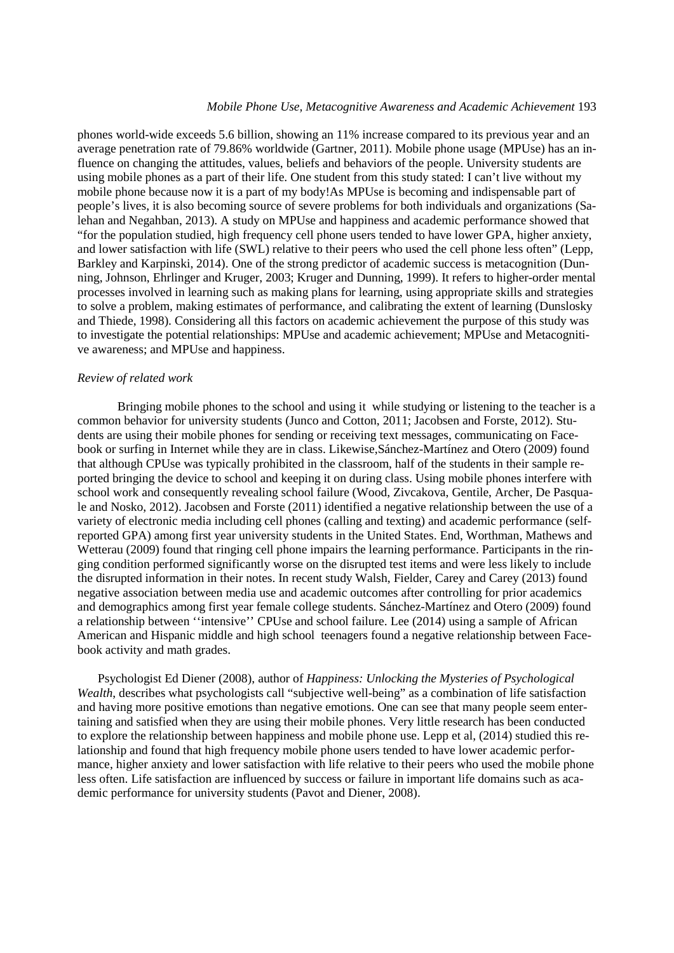### *Mobile Phone Use, Metacognitive Awareness and Academic Achievement* 193

phones world-wide exceeds 5.6 billion, showing an 11% increase compared to its previous year and an average penetration rate of 79.86% worldwide (Gartner, 2011). Mobile phone usage (MPUse) has an influence on changing the attitudes, values, beliefs and behaviors of the people. University students are using mobile phones as a part of their life. One student from this study stated: I can't live without my mobile phone because now it is a part of my body!As MPUse is becoming and indispensable part of people's lives, it is also becoming source of severe problems for both individuals and organizations (Salehan and Negahban, 2013). A study on MPUse and happiness and academic performance showed that "for the population studied, high frequency cell phone users tended to have lower GPA, higher anxiety, and lower satisfaction with life (SWL) relative to their peers who used the cell phone less often" (Lepp, Barkley and Karpinski, 2014). One of the strong predictor of academic success is metacognition (Dunning, Johnson, Ehrlinger and Kruger, 2003; Kruger and Dunning, 1999). It refers to higher-order mental processes involved in learning such as making plans for learning, using appropriate skills and strategies to solve a problem, making estimates of performance, and calibrating the extent of learning (Dunslosky and Thiede, 1998). Considering all this factors on academic achievement the purpose of this study was to investigate the potential relationships: MPUse and academic achievement; MPUse and Metacognitive awareness; and MPUse and happiness.

## *Review of related work*

Bringing mobile phones to the school and using it while studying or listening to the teacher is a common behavior for university students (Junco and Cotton, 2011; Jacobsen and Forste, 2012). Students are using their mobile phones for sending or receiving text messages, communicating on Facebook or surfing in Internet while they are in class. Likewise,Sánchez-Martínez and Otero (2009) found that although CPUse was typically prohibited in the classroom, half of the students in their sample reported bringing the device to school and keeping it on during class. Using mobile phones interfere with school work and consequently revealing school failure (Wood, Zivcakova, Gentile, Archer, De Pasquale and Nosko, 2012). Jacobsen and Forste (2011) identified a negative relationship between the use of a variety of electronic media including cell phones (calling and texting) and academic performance (selfreported GPA) among first year university students in the United States. End, Worthman, Mathews and Wetterau (2009) found that ringing cell phone impairs the learning performance. Participants in the ringing condition performed significantly worse on the disrupted test items and were less likely to include the disrupted information in their notes. In recent study Walsh, Fielder, Carey and Carey (2013) found negative association between media use and academic outcomes after controlling for prior academics and demographics among first year female college students. Sánchez-Martínez and Otero (2009) found a relationship between ''intensive'' CPUse and school failure. Lee (2014) using a sample of African American and Hispanic middle and high school teenagers found a negative relationship between Facebook activity and math grades.

Psychologist Ed Diener (2008), author of *Happiness: Unlocking the Mysteries of Psychological Wealth*, describes what psychologists call "subjective well-being" as a combination of life satisfaction and having more positive emotions than negative emotions. One can see that many people seem entertaining and satisfied when they are using their mobile phones. Very little research has been conducted to explore the relationship between happiness and mobile phone use. Lepp et al, (2014) studied this relationship and found that high frequency mobile phone users tended to have lower academic performance, higher anxiety and lower satisfaction with life relative to their peers who used the mobile phone less often. Life satisfaction are influenced by success or failure in important life domains such as academic performance for university students (Pavot and Diener, 2008).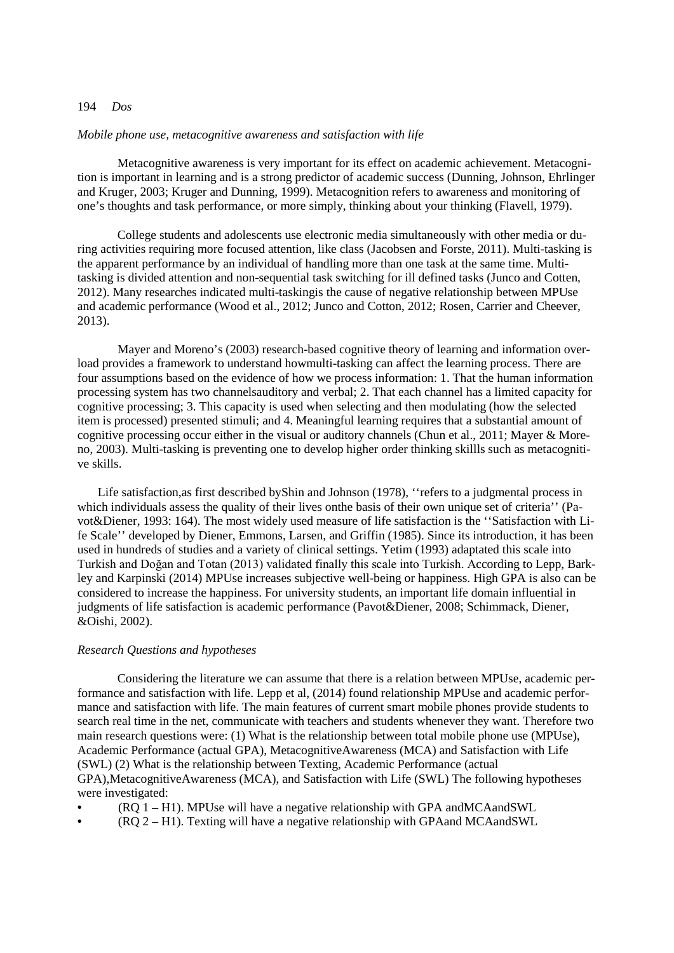## 194 *Dos*

#### *Mobile phone use, metacognitive awareness and satisfaction with life*

Metacognitive awareness is very important for its effect on academic achievement. Metacognition is important in learning and is a strong predictor of academic success (Dunning, Johnson, Ehrlinger and Kruger, 2003; Kruger and Dunning, 1999). Metacognition refers to awareness and monitoring of one's thoughts and task performance, or more simply, thinking about your thinking (Flavell, 1979).

College students and adolescents use electronic media simultaneously with other media or during activities requiring more focused attention, like class (Jacobsen and Forste, 2011). Multi-tasking is the apparent performance by an individual of handling more than one task at the same time. Multitasking is divided attention and non-sequential task switching for ill defined tasks (Junco and Cotten, 2012). Many researches indicated multi-taskingis the cause of negative relationship between MPUse and academic performance (Wood et al., 2012; Junco and Cotton, 2012; Rosen, Carrier and Cheever, 2013).

Mayer and Moreno's (2003) research-based cognitive theory of learning and information overload provides a framework to understand howmulti-tasking can affect the learning process. There are four assumptions based on the evidence of how we process information: 1. That the human information processing system has two channelsauditory and verbal; 2. That each channel has a limited capacity for cognitive processing; 3. This capacity is used when selecting and then modulating (how the selected item is processed) presented stimuli; and 4. Meaningful learning requires that a substantial amount of cognitive processing occur either in the visual or auditory channels (Chun et al., 2011; Mayer & Moreno, 2003). Multi-tasking is preventing one to develop higher order thinking skillls such as metacognitive skills.

Life satisfaction, as first described by Shin and Johnson (1978), "refers to a judgmental process in which individuals assess the quality of their lives onthe basis of their own unique set of criteria'' (Pavot&Diener, 1993: 164). The most widely used measure of life satisfaction is the ''Satisfaction with Life Scale'' developed by Diener, Emmons, Larsen, and Griffin (1985). Since its introduction, it has been used in hundreds of studies and a variety of clinical settings. Yetim (1993) adaptated this scale into Turkish and Doğan and Totan (2013) validated finally this scale into Turkish. According to Lepp, Barkley and Karpinski (2014) MPUse increases subjective well-being or happiness. High GPA is also can be considered to increase the happiness. For university students, an important life domain influential in judgments of life satisfaction is academic performance (Pavot&Diener, 2008; Schimmack, Diener, &Oishi, 2002).

#### *Research Questions and hypotheses*

Considering the literature we can assume that there is a relation between MPUse, academic performance and satisfaction with life. Lepp et al, (2014) found relationship MPUse and academic performance and satisfaction with life. The main features of current smart mobile phones provide students to search real time in the net, communicate with teachers and students whenever they want. Therefore two main research questions were: (1) What is the relationship between total mobile phone use (MPUse), Academic Performance (actual GPA), MetacognitiveAwareness (MCA) and Satisfaction with Life (SWL) (2) What is the relationship between Texting, Academic Performance (actual GPA),MetacognitiveAwareness (MCA), and Satisfaction with Life (SWL) The following hypotheses were investigated:

- (RQ 1 H1). MPUse will have a negative relationship with GPA andMCAandSWL
- (RQ 2 H1). Texting will have a negative relationship with GPAand MCAandSWL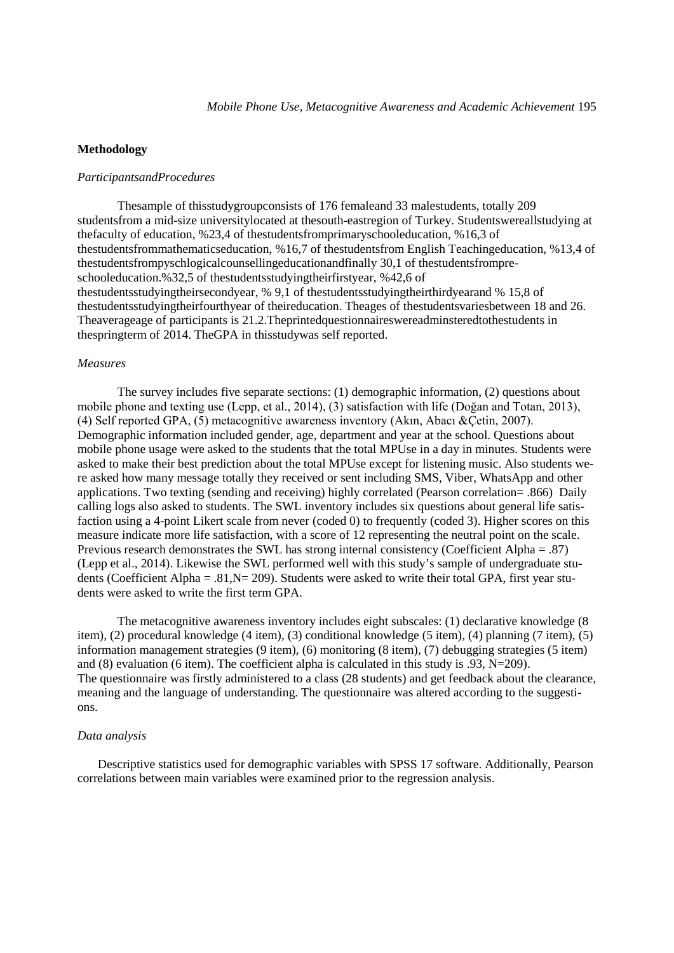## **Methodology**

#### *ParticipantsandProcedures*

Thesample of thisstudygroupconsists of 176 femaleand 33 malestudents, totally 209 studentsfrom a mid-size universitylocated at thesouth-eastregion of Turkey. Studentswereallstudying at thefaculty of education, %23,4 of thestudentsfromprimaryschooleducation, %16,3 of thestudentsfrommathematicseducation, %16,7 of thestudentsfrom English Teachingeducation, %13,4 of thestudentsfrompyschlogicalcounsellingeducationandfinally 30,1 of thestudentsfrompreschooleducation.%32,5 of thestudentsstudyingtheirfirstyear, %42,6 of thestudentsstudyingtheirsecondyear, % 9,1 of thestudentsstudyingtheirthirdyearand % 15,8 of thestudentsstudyingtheirfourthyear of theireducation. Theages of thestudentsvariesbetween 18 and 26. Theaverageage of participants is 21.2.Theprintedquestionnaireswereadminsteredtothestudents in thespringterm of 2014. TheGPA in thisstudywas self reported.

#### *Measures*

The survey includes five separate sections: (1) demographic information, (2) questions about mobile phone and texting use (Lepp, et al., 2014), (3) satisfaction with life (Doğan and Totan, 2013), (4) Self reported GPA, (5) metacognitive awareness inventory (Akın, Abacı &Çetin, 2007). Demographic information included gender, age, department and year at the school. Questions about mobile phone usage were asked to the students that the total MPUse in a day in minutes. Students were asked to make their best prediction about the total MPUse except for listening music. Also students were asked how many message totally they received or sent including SMS, Viber, WhatsApp and other applications. Two texting (sending and receiving) highly correlated (Pearson correlation= .866) Daily calling logs also asked to students. The SWL inventory includes six questions about general life satisfaction using a 4-point Likert scale from never (coded 0) to frequently (coded 3). Higher scores on this measure indicate more life satisfaction, with a score of 12 representing the neutral point on the scale. Previous research demonstrates the SWL has strong internal consistency (Coefficient Alpha = .87) (Lepp et al., 2014). Likewise the SWL performed well with this study's sample of undergraduate students (Coefficient Alpha =  $.81$ , N= 209). Students were asked to write their total GPA, first year students were asked to write the first term GPA.

The metacognitive awareness inventory includes eight subscales: (1) declarative knowledge (8 item), (2) procedural knowledge (4 item), (3) conditional knowledge (5 item), (4) planning (7 item), (5) information management strategies (9 item), (6) monitoring (8 item), (7) debugging strategies (5 item) and  $(8)$  evaluation  $(6 \text{ item})$ . The coefficient alpha is calculated in this study is  $.93, N=209$ . The questionnaire was firstly administered to a class (28 students) and get feedback about the clearance, meaning and the language of understanding. The questionnaire was altered according to the suggestions.

## *Data analysis*

Descriptive statistics used for demographic variables with SPSS 17 software. Additionally, Pearson correlations between main variables were examined prior to the regression analysis.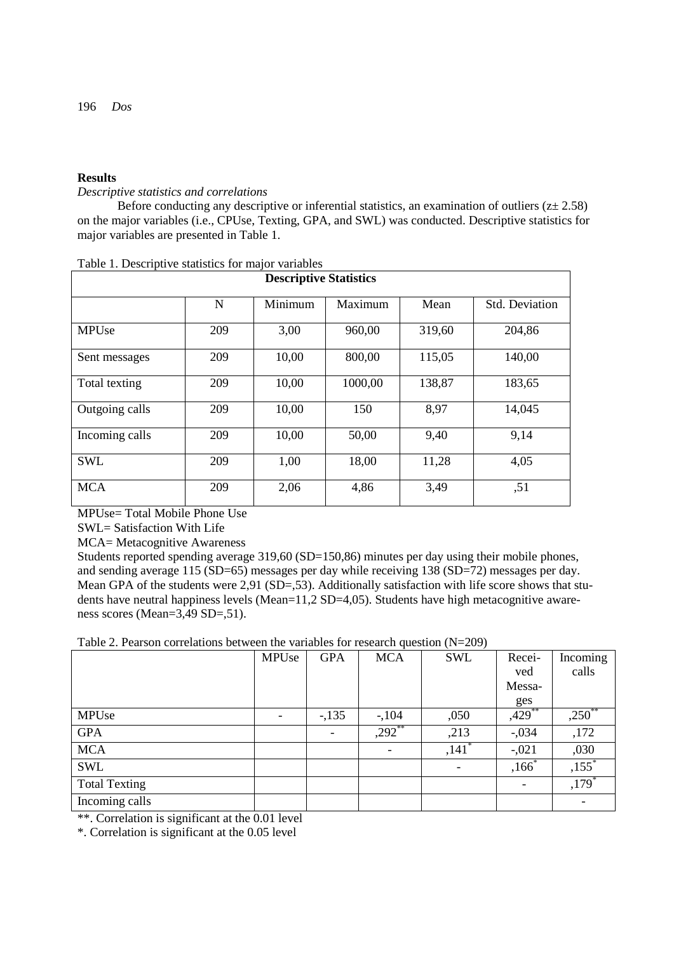# **Results**

## *Descriptive statistics and correlations*

Before conducting any descriptive or inferential statistics, an examination of outliers ( $z \pm 2.58$ ) on the major variables (i.e., CPUse, Texting, GPA, and SWL) was conducted. Descriptive statistics for major variables are presented in Table 1.

| <b>Descriptive Statistics</b> |     |         |         |        |                       |  |  |  |
|-------------------------------|-----|---------|---------|--------|-----------------------|--|--|--|
|                               | N   | Minimum | Maximum | Mean   | <b>Std.</b> Deviation |  |  |  |
| <b>MPUse</b>                  | 209 | 3,00    | 960,00  | 319,60 | 204,86                |  |  |  |
| Sent messages                 | 209 | 10,00   | 800,00  | 115,05 | 140,00                |  |  |  |
| Total texting                 | 209 | 10,00   | 1000,00 | 138,87 | 183,65                |  |  |  |
| Outgoing calls                | 209 | 10,00   | 150     | 8.97   | 14,045                |  |  |  |
| Incoming calls                | 209 | 10,00   | 50,00   | 9,40   | 9,14                  |  |  |  |
| <b>SWL</b>                    | 209 | 1,00    | 18,00   | 11,28  | 4,05                  |  |  |  |
| <b>MCA</b>                    | 209 | 2,06    | 4,86    | 3,49   | , 51                  |  |  |  |

| Table 1. Descriptive statistics for major variables |  |  |  |  |  |
|-----------------------------------------------------|--|--|--|--|--|
|-----------------------------------------------------|--|--|--|--|--|

MPUse= Total Mobile Phone Use

SWL= Satisfaction With Life

MCA= Metacognitive Awareness

Students reported spending average 319,60 (SD=150,86) minutes per day using their mobile phones, and sending average 115 (SD=65) messages per day while receiving 138 (SD=72) messages per day. Mean GPA of the students were 2,91 (SD=,53). Additionally satisfaction with life score shows that students have neutral happiness levels (Mean=11,2 SD=4,05). Students have high metacognitive awareness scores (Mean=3,49 SD=,51).

Table 2. Pearson correlations between the variables for research question (N=209)

|                      | MPUse | <b>GPA</b> | <b>MCA</b> | <b>SWL</b>          | Recei-  | Incoming                 |
|----------------------|-------|------------|------------|---------------------|---------|--------------------------|
|                      |       |            |            |                     | ved     | calls                    |
|                      |       |            |            |                     | Messa-  |                          |
|                      |       |            |            |                     | ges     |                          |
| <b>MPUse</b>         |       | $-135$     | $-104$     | ,050                | ,429    | $,250$ **                |
| <b>GPA</b>           |       |            | $,292$ **  | ,213                | $-.034$ | ,172                     |
| <b>MCA</b>           |       |            |            | $,141$ <sup>*</sup> | $-.021$ | ,030                     |
| SWL                  |       |            |            |                     | $,166*$ | $,155$ <sup>*</sup>      |
| <b>Total Texting</b> |       |            |            |                     |         | $,179*$                  |
| Incoming calls       |       |            |            |                     |         | $\overline{\phantom{a}}$ |

\*\*. Correlation is significant at the 0.01 level

\*. Correlation is significant at the 0.05 level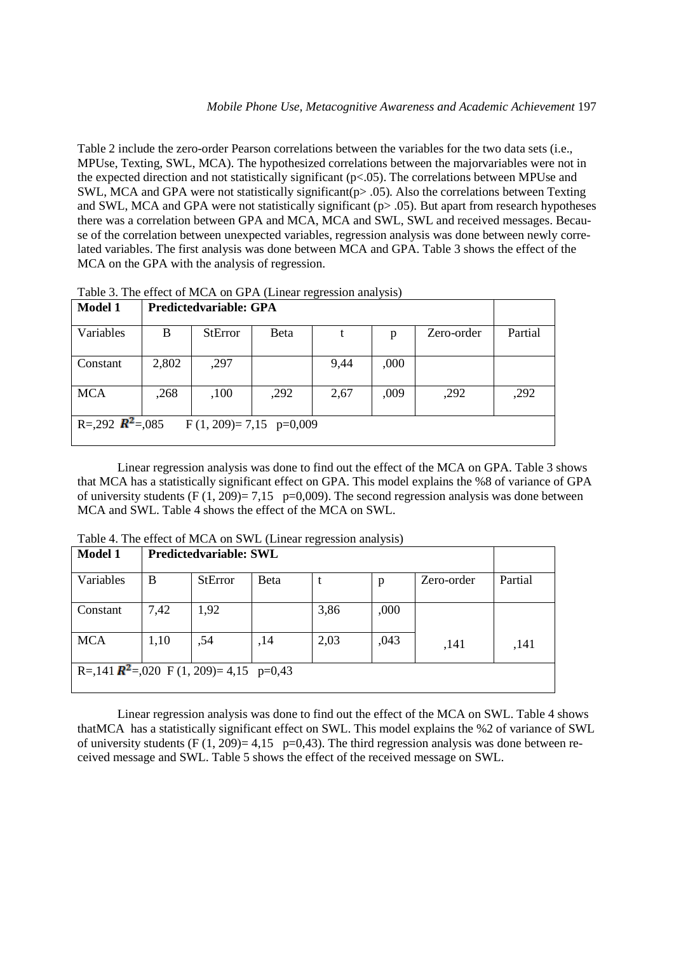Table 2 include the zero-order Pearson correlations between the variables for the two data sets (i.e., MPUse, Texting, SWL, MCA). The hypothesized correlations between the majorvariables were not in the expected direction and not statistically significant (p<.05). The correlations between MPUse and SWL, MCA and GPA were not statistically significant ( $p$  > .05). Also the correlations between Texting and SWL, MCA and GPA were not statistically significant (p > .05). But apart from research hypotheses there was a correlation between GPA and MCA, MCA and SWL, SWL and received messages. Because of the correlation between unexpected variables, regression analysis was done between newly correlated variables. The first analysis was done between MCA and GPA. Table 3 shows the effect of the MCA on the GPA with the analysis of regression.

| Tuble 31 The entert of them on STTT (Emilia Texters) and follow |                        |                |      |      |      |            |         |  |
|-----------------------------------------------------------------|------------------------|----------------|------|------|------|------------|---------|--|
| <b>Model 1</b>                                                  | Predictedvariable: GPA |                |      |      |      |            |         |  |
| Variables                                                       | B                      | <b>StError</b> | Beta |      | p    | Zero-order | Partial |  |
| Constant                                                        | 2,802                  | ,297           |      | 9,44 | ,000 |            |         |  |
| <b>MCA</b>                                                      | ,268                   | ,100           | ,292 | 2,67 | ,009 | ,292       | ,292    |  |
| R=,292 $\mathbb{R}^2$ =,085<br>$F(1, 209)=7,15 p=0,009$         |                        |                |      |      |      |            |         |  |

Table 3. The effect of MCA on GPA (Linear regression analysis)

Linear regression analysis was done to find out the effect of the MCA on GPA. Table 3 shows that MCA has a statistically significant effect on GPA. This model explains the %8 of variance of GPA of university students  $(F (1, 209)= 7,15 \text{ p=0,009})$ . The second regression analysis was done between MCA and SWL. Table 4 shows the effect of the MCA on SWL.

Table 4. The effect of MCA on SWL (Linear regression analysis)

| <b>Model 1</b>                                      | <b>Predictedvariable: SWL</b> |                |              |      |      |            |         |  |
|-----------------------------------------------------|-------------------------------|----------------|--------------|------|------|------------|---------|--|
| Variables                                           | B                             | <b>StError</b> | <b>B</b> eta |      | p    | Zero-order | Partial |  |
| Constant                                            | 7,42                          | 1,92           |              | 3,86 | ,000 |            |         |  |
| <b>MCA</b>                                          | 1,10                          | ,54            | ,14          | 2,03 | ,043 | ,141       | ,141    |  |
| R=,141 $\mathbb{R}^2$ =,020 F (1, 209)= 4,15 p=0,43 |                               |                |              |      |      |            |         |  |

Linear regression analysis was done to find out the effect of the MCA on SWL. Table 4 shows thatMCA has a statistically significant effect on SWL. This model explains the %2 of variance of SWL of university students  $(F (1, 209)=4.15)$  p=0.43). The third regression analysis was done between received message and SWL. Table 5 shows the effect of the received message on SWL.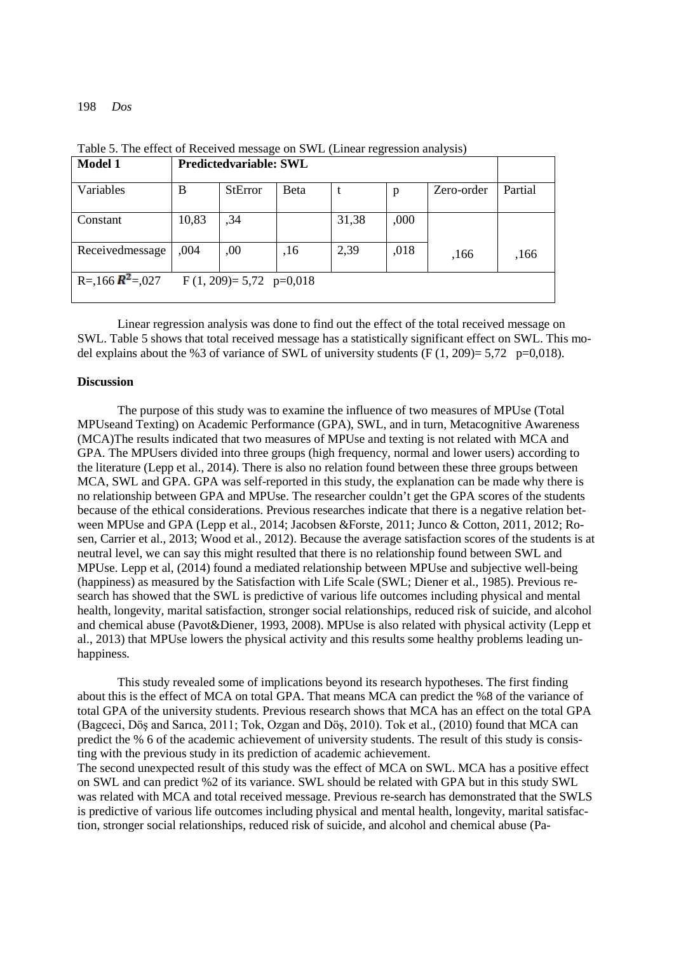198 *Dos* 

| <b>Model 1</b>        | <b>Predictedvariable: SWL</b> |                |      |       |      |            |         |
|-----------------------|-------------------------------|----------------|------|-------|------|------------|---------|
| Variables             | B                             | <b>StError</b> | Beta |       | p    | Zero-order | Partial |
| Constant              | 10,83                         | ,34            |      | 31,38 | ,000 |            |         |
| Receivedmessage       | .004                          | ,00            | ,16  | 2,39  | ,018 | ,166       | ,166    |
| $R = 166$ $R^2 = 027$ | F $(1, 209) = 5,72$ p=0,018   |                |      |       |      |            |         |

Table 5. The effect of Received message on SWL (Linear regression analysis)

Linear regression analysis was done to find out the effect of the total received message on SWL. Table 5 shows that total received message has a statistically significant effect on SWL. This model explains about the %3 of variance of SWL of university students (F  $(1, 209) = 5.72$  p=0,018).

## **Discussion**

The purpose of this study was to examine the influence of two measures of MPUse (Total MPUseand Texting) on Academic Performance (GPA), SWL, and in turn, Metacognitive Awareness (MCA)The results indicated that two measures of MPUse and texting is not related with MCA and GPA. The MPUsers divided into three groups (high frequency, normal and lower users) according to the literature (Lepp et al., 2014). There is also no relation found between these three groups between MCA, SWL and GPA. GPA was self-reported in this study, the explanation can be made why there is no relationship between GPA and MPUse. The researcher couldn't get the GPA scores of the students because of the ethical considerations. Previous researches indicate that there is a negative relation between MPUse and GPA (Lepp et al., 2014; Jacobsen &Forste, 2011; Junco & Cotton, 2011, 2012; Rosen, Carrier et al., 2013; Wood et al., 2012). Because the average satisfaction scores of the students is at neutral level, we can say this might resulted that there is no relationship found between SWL and MPUse. Lepp et al, (2014) found a mediated relationship between MPUse and subjective well-being (happiness) as measured by the Satisfaction with Life Scale (SWL; Diener et al., 1985). Previous research has showed that the SWL is predictive of various life outcomes including physical and mental health, longevity, marital satisfaction, stronger social relationships, reduced risk of suicide, and alcohol and chemical abuse (Pavot&Diener, 1993, 2008). MPUse is also related with physical activity (Lepp et al., 2013) that MPUse lowers the physical activity and this results some healthy problems leading unhappiness.

This study revealed some of implications beyond its research hypotheses. The first finding about this is the effect of MCA on total GPA. That means MCA can predict the %8 of the variance of total GPA of the university students. Previous research shows that MCA has an effect on the total GPA (Bagceci, Döş and Sarıca, 2011; Tok, Ozgan and Döş, 2010). Tok et al., (2010) found that MCA can predict the % 6 of the academic achievement of university students. The result of this study is consisting with the previous study in its prediction of academic achievement.

The second unexpected result of this study was the effect of MCA on SWL. MCA has a positive effect on SWL and can predict %2 of its variance. SWL should be related with GPA but in this study SWL was related with MCA and total received message. Previous re-search has demonstrated that the SWLS is predictive of various life outcomes including physical and mental health, longevity, marital satisfaction, stronger social relationships, reduced risk of suicide, and alcohol and chemical abuse (Pa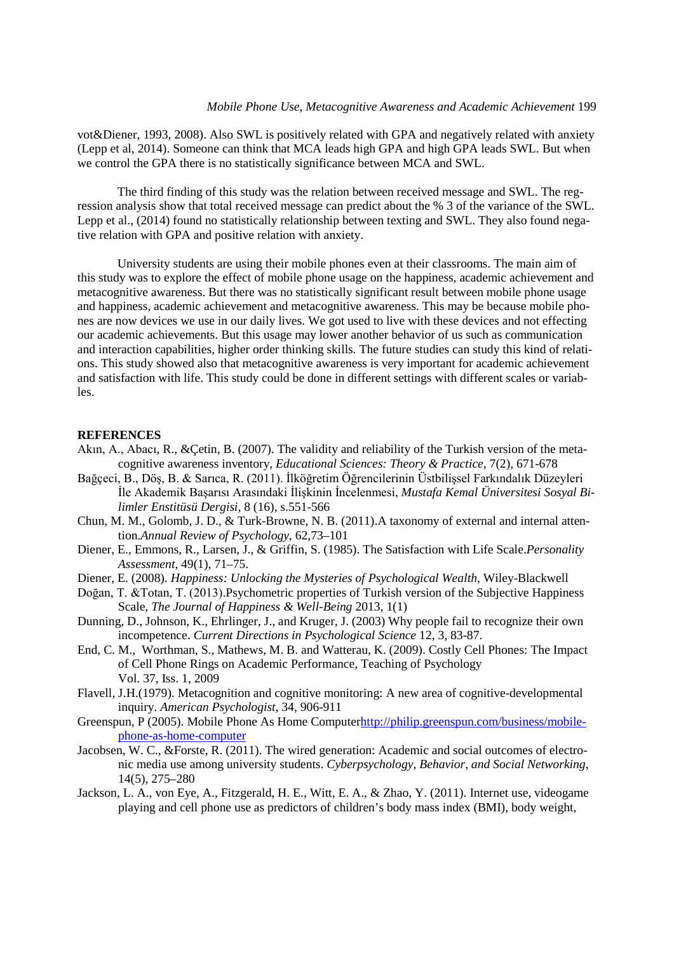vot&Diener, 1993, 2008). Also SWL is positively related with GPA and negatively related with anxiety (Lepp et al, 2014). Someone can think that MCA leads high GPA and high GPA leads SWL. But when we control the GPA there is no statistically significance between MCA and SWL.

The third finding of this study was the relation between received message and SWL. The regression analysis show that total received message can predict about the % 3 of the variance of the SWL. Lepp et al., (2014) found no statistically relationship between texting and SWL. They also found negative relation with GPA and positive relation with anxiety.

University students are using their mobile phones even at their classrooms. The main aim of this study was to explore the effect of mobile phone usage on the happiness, academic achievement and metacognitive awareness. But there was no statistically significant result between mobile phone usage and happiness, academic achievement and metacognitive awareness. This may be because mobile phones are now devices we use in our daily lives. We got used to live with these devices and not effecting our academic achievements. But this usage may lower another behavior of us such as communication and interaction capabilities, higher order thinking skills. The future studies can study this kind of relations. This study showed also that metacognitive awareness is very important for academic achievement and satisfaction with life. This study could be done in different settings with different scales or variables.

#### **REFERENCES**

- Akın, A., Abacı, R., &Çetin, B. (2007). The validity and reliability of the Turkish version of the metacognitive awareness inventory, *Educational Sciences: Theory & Practice*, 7(2), 671-678
- Bağçeci, B., Döş, B. & Sarıca, R. (2011). İlköğretim Öğrencilerinin Üstbilişsel Farkındalık Düzeyleri İle Akademik Başarısı Arasındaki İlişkinin İncelenmesi, *Mustafa Kemal Üniversitesi Sosyal Bilimler Enstitüsü Dergisi,* 8 (16), s.551-566
- Chun, M. M., Golomb, J. D., & Turk-Browne, N. B. (2011).A taxonomy of external and internal attention.*Annual Review of Psychology*, 62,73–101
- Diener, E., Emmons, R., Larsen, J., & Griffin, S. (1985). The Satisfaction with Life Scale.*Personality Assessment*, 49(1), 71–75.
- Diener, E. (2008). *Happiness: Unlocking the Mysteries of Psychological Wealth,* Wiley-Blackwell
- Doğan, T. &Totan, T. (2013).Psychometric properties of Turkish version of the Subjective Happiness Scale, *The Journal of Happiness & Well-Being* 2013, 1(1)
- Dunning, D., Johnson, K., Ehrlinger, J., and Kruger, J. (2003) Why people fail to recognize their own incompetence. *Current Directions in Psychological Science* 12, 3, 83-87.
- End, C. M., Worthman, S., Mathews, M. B. and Watterau, K. (2009). Costly Cell Phones: The Impact of Cell Phone Rings on Academic Performance, Teaching of Psychology Vol. 37, Iss. 1, 2009
- Flavell, J.H.(1979). Metacognition and cognitive monitoring: A new area of cognitive-developmental inquiry. *American Psychologist*, 34, 906-911
- Greenspun, P (2005). Mobile Phone As Home Compute[rhttp://philip.greenspun.com/business/mobile](http://philip.greenspun.com/business/mobile-phone-as-home-computer)[phone-as-home-computer](http://philip.greenspun.com/business/mobile-phone-as-home-computer)
- Jacobsen, W. C., &Forste, R. (2011). The wired generation: Academic and social outcomes of electronic media use among university students. *Cyberpsychology, Behavior, and Social Networking*, 14(5), 275–280
- Jackson, L. A., von Eye, A., Fitzgerald, H. E., Witt, E. A., & Zhao, Y. (2011). Internet use, videogame playing and cell phone use as predictors of children's body mass index (BMI), body weight,